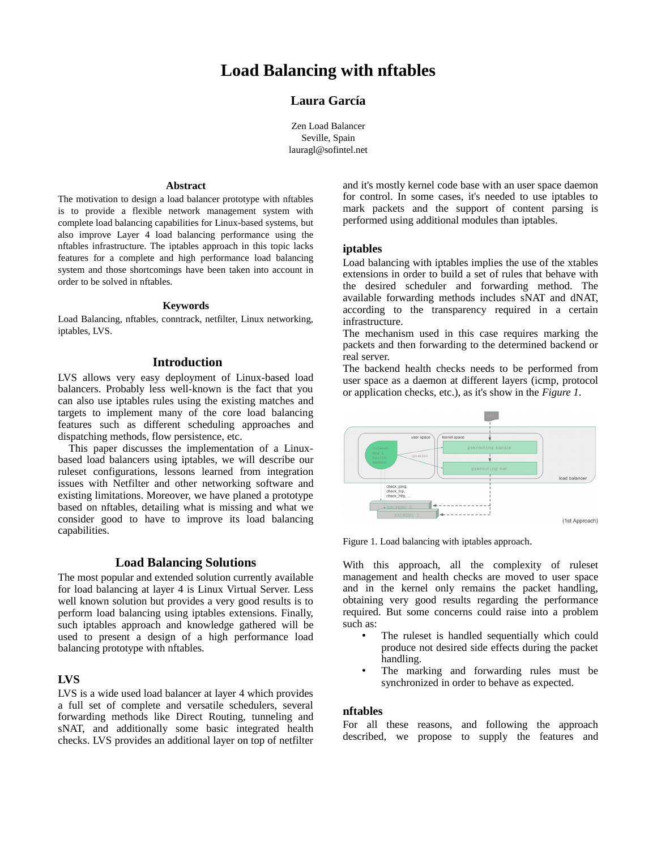# **Load Balancing with nftables**

# **Laura García**

Zen Load Balancer Seville, Spain lauragl@sofintel.net

#### **Abstract**

The motivation to design a load balancer prototype with nftables is to provide a flexible network management system with complete load balancing capabilities for Linux-based systems, but also improve Layer 4 load balancing performance using the nftables infrastructure. The iptables approach in this topic lacks features for a complete and high performance load balancing system and those shortcomings have been taken into account in order to be solved in nftables.

#### **Keywords**

Load Balancing, nftables, conntrack, netfilter, Linux networking, iptables, LVS.

#### **Introduction**

LVS allows very easy deployment of Linux-based load balancers. Probably less well-known is the fact that you can also use iptables rules using the existing matches and targets to implement many of the core load balancing features such as different scheduling approaches and dispatching methods, flow persistence, etc.

This paper discusses the implementation of a Linuxbased load balancers using iptables, we will describe our ruleset configurations, lessons learned from integration issues with Netfilter and other networking software and existing limitations. Moreover, we have planed a prototype based on nftables, detailing what is missing and what we consider good to have to improve its load balancing capabilities.

#### **Load Balancing Solutions**

The most popular and extended solution currently available for load balancing at layer 4 is Linux Virtual Server. Less well known solution but provides a very good results is to perform load balancing using iptables extensions. Finally, such iptables approach and knowledge gathered will be used to present a design of a high performance load balancing prototype with nftables.

#### **LVS**

LVS is a wide used load balancer at layer 4 which provides a full set of complete and versatile schedulers, several forwarding methods like Direct Routing, tunneling and sNAT, and additionally some basic integrated health checks. LVS provides an additional layer on top of netfilter

and it's mostly kernel code base with an user space daemon for control. In some cases, it's needed to use iptables to mark packets and the support of content parsing is performed using additional modules than iptables.

#### **iptables**

Load balancing with iptables implies the use of the xtables extensions in order to build a set of rules that behave with the desired scheduler and forwarding method. The available forwarding methods includes sNAT and dNAT, according to the transparency required in a certain infrastructure.

The mechanism used in this case requires marking the packets and then forwarding to the determined backend or real server.

The backend health checks needs to be performed from user space as a daemon at different layers (icmp, protocol or application checks, etc.), as it's show in the *Figure 1*.



Figure 1. Load balancing with iptables approach.

With this approach, all the complexity of ruleset management and health checks are moved to user space and in the kernel only remains the packet handling, obtaining very good results regarding the performance required. But some concerns could raise into a problem such as:

- The ruleset is handled sequentially which could produce not desired side effects during the packet handling.
- The marking and forwarding rules must be synchronized in order to behave as expected.

#### **nftables**

For all these reasons, and following the approach described, we propose to supply the features and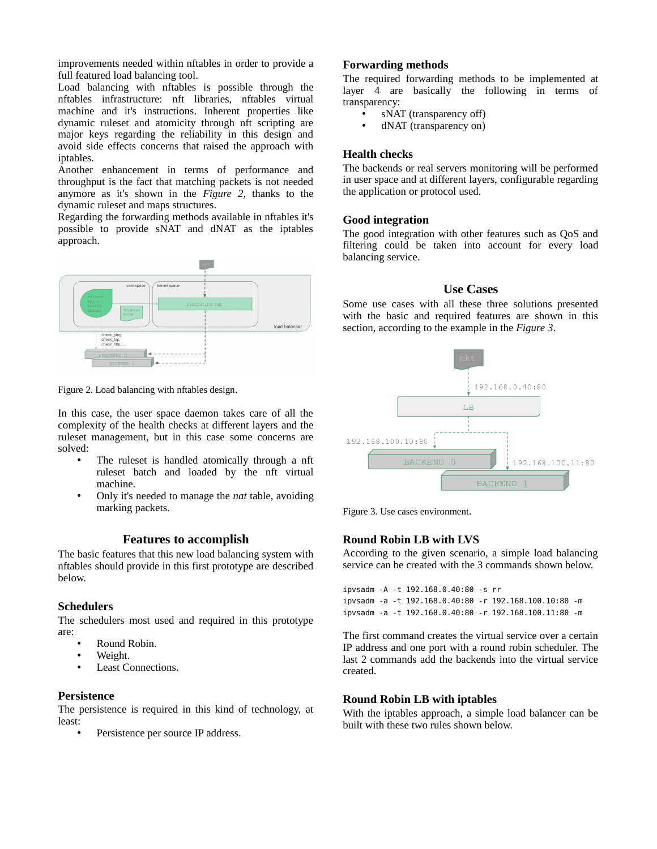improvements needed within nftables in order to provide a full featured load balancing tool.

Load balancing with nftables is possible through the nftables infrastructure: nft libraries, nftables virtual machine and it's instructions. Inherent properties like dynamic ruleset and atomicity through nft scripting are major keys regarding the reliability in this design and avoid side effects concerns that raised the approach with iptables.

Another enhancement in terms of performance and throughput is the fact that matching packets is not needed anymore as it's shown in the *Figure 2*, thanks to the dynamic ruleset and maps structures.

Regarding the forwarding methods available in nftables it's possible to provide sNAT and dNAT as the iptables approach.



Figure 2. Load balancing with nftables design.

In this case, the user space daemon takes care of all the complexity of the health checks at different layers and the ruleset management, but in this case some concerns are solved:

- The ruleset is handled atomically through a nft ruleset batch and loaded by the nft virtual machine.
- Only it's needed to manage the *nat* table, avoiding marking packets.

# **Features to accomplish**

The basic features that this new load balancing system with nftables should provide in this first prototype are described below.

# **Schedulers**

The schedulers most used and required in this prototype are:

- Round Robin.
- Weight.
- Least Connections.

# **Persistence**

The persistence is required in this kind of technology, at least:

Persistence per source IP address.

#### **Forwarding methods**

The required forwarding methods to be implemented at layer 4 are basically the following in terms of transparency:

- sNAT (transparency off)
	- dNAT (transparency on)

# **Health checks**

The backends or real servers monitoring will be performed in user space and at different layers, configurable regarding the application or protocol used.

# **Good integration**

The good integration with other features such as QoS and filtering could be taken into account for every load balancing service.

# **Use Cases**

Some use cases with all these three solutions presented with the basic and required features are shown in this section, according to the example in the *Figure 3*.



Figure 3. Use cases environment.

# **Round Robin LB with LVS**

According to the given scenario, a simple load balancing service can be created with the 3 commands shown below.

ipvsadm -A -t 192.168.0.40:80 -s rr ipvsadm -a -t 192.168.0.40:80 -r 192.168.100.10:80 -m ipvsadm -a -t 192.168.0.40:80 -r 192.168.100.11:80 -m

The first command creates the virtual service over a certain IP address and one port with a round robin scheduler. The last 2 commands add the backends into the virtual service created.

# **Round Robin LB with iptables**

With the iptables approach, a simple load balancer can be built with these two rules shown below.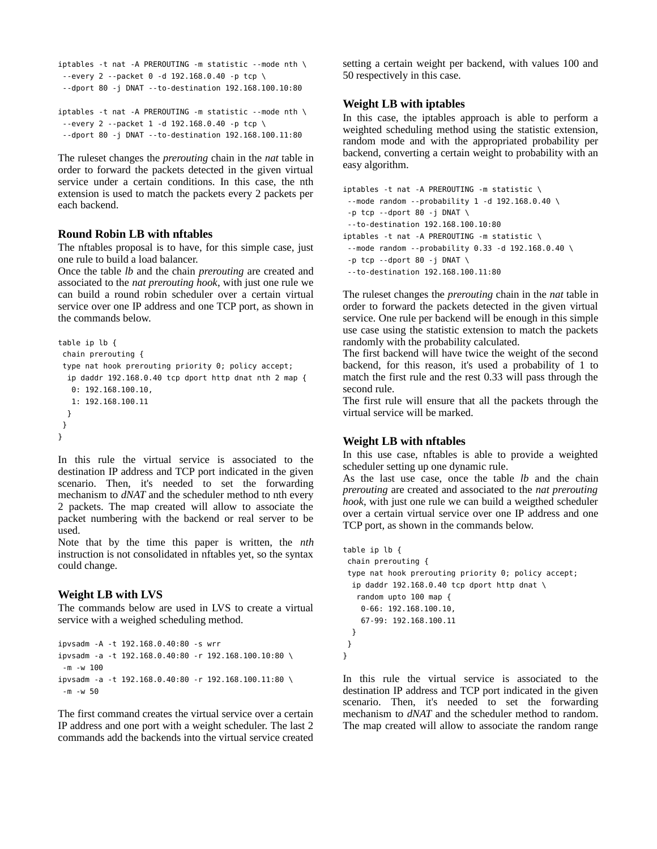```
iptables -t nat -A PREROUTING -m statistic --mode nth \
 -every 2 --packet 0 -d 192.168.0.40 -p tcp \
  --dport 80 -j DNAT --to-destination 192.168.100.10:80
iptables -t nat -A PREROUTING -m statistic --mode nth \
  --every 2 --packet 1 -d 192.168.0.40 -p tcp \
  --dport 80 -j DNAT --to-destination 192.168.100.11:80
```
The ruleset changes the *prerouting* chain in the *nat* table in order to forward the packets detected in the given virtual service under a certain conditions. In this case, the nth extension is used to match the packets every 2 packets per each backend.

#### **Round Robin LB with nftables**

The nftables proposal is to have, for this simple case, just one rule to build a load balancer.

Once the table *lb* and the chain *prerouting* are created and associated to the *nat prerouting hook*, with just one rule we can build a round robin scheduler over a certain virtual service over one IP address and one TCP port, as shown in the commands below.

```
table ip lb {
 chain prerouting {
  type nat hook prerouting priority 0; policy accept;
  ip daddr 192.168.0.40 tcp dport http dnat nth 2 map {
    0: 192.168.100.10,
    1: 192.168.100.11
  }
 }
}
```
In this rule the virtual service is associated to the destination IP address and TCP port indicated in the given scenario. Then, it's needed to set the forwarding mechanism to *dNAT* and the scheduler method to nth every 2 packets. The map created will allow to associate the packet numbering with the backend or real server to be used.

Note that by the time this paper is written, the *nth* instruction is not consolidated in nftables yet, so the syntax could change.

#### **Weight LB with LVS**

The commands below are used in LVS to create a virtual service with a weighed scheduling method.

```
ipvsadm -A -t 192.168.0.40:80 -s wrr
ipvsadm -a -t 192.168.0.40:80 -r 192.168.100.10:80 \
  -m -w 100
ipvsadm -a -t 192.168.0.40:80 -r 192.168.100.11:80 \
  -m -w 50
```
The first command creates the virtual service over a certain IP address and one port with a weight scheduler. The last 2 commands add the backends into the virtual service created

setting a certain weight per backend, with values 100 and 50 respectively in this case.

#### **Weight LB with iptables**

In this case, the iptables approach is able to perform a weighted scheduling method using the statistic extension, random mode and with the appropriated probability per backend, converting a certain weight to probability with an easy algorithm.

```
iptables -t nat -A PREROUTING -m statistic \
  --mode random --probability 1 -d 192.168.0.40 \
 -p tcp --dport 80 -j DNAT \
  --to-destination 192.168.100.10:80
iptables -t nat -A PREROUTING -m statistic \
  --mode random --probability 0.33 -d 192.168.0.40 \
 -p tcp --dport 80 -j DNAT \
  --to-destination 192.168.100.11:80
```
The ruleset changes the *prerouting* chain in the *nat* table in order to forward the packets detected in the given virtual service. One rule per backend will be enough in this simple use case using the statistic extension to match the packets randomly with the probability calculated.

The first backend will have twice the weight of the second backend, for this reason, it's used a probability of 1 to match the first rule and the rest 0.33 will pass through the second rule.

The first rule will ensure that all the packets through the virtual service will be marked.

#### **Weight LB with nftables**

In this use case, nftables is able to provide a weighted scheduler setting up one dynamic rule.

As the last use case, once the table *lb* and the chain *prerouting* are created and associated to the *nat prerouting hook*, with just one rule we can build a weigthed scheduler over a certain virtual service over one IP address and one TCP port, as shown in the commands below.

```
table ip lb {
  chain prerouting {
  type nat hook prerouting priority 0; policy accept;
  ip daddr 192.168.0.40 tcp dport http dnat \setminus random upto 100 map {
     0-66: 192.168.100.10,
     67-99: 192.168.100.11
  }
 }
}
```
In this rule the virtual service is associated to the destination IP address and TCP port indicated in the given scenario. Then, it's needed to set the forwarding mechanism to *dNAT* and the scheduler method to random. The map created will allow to associate the random range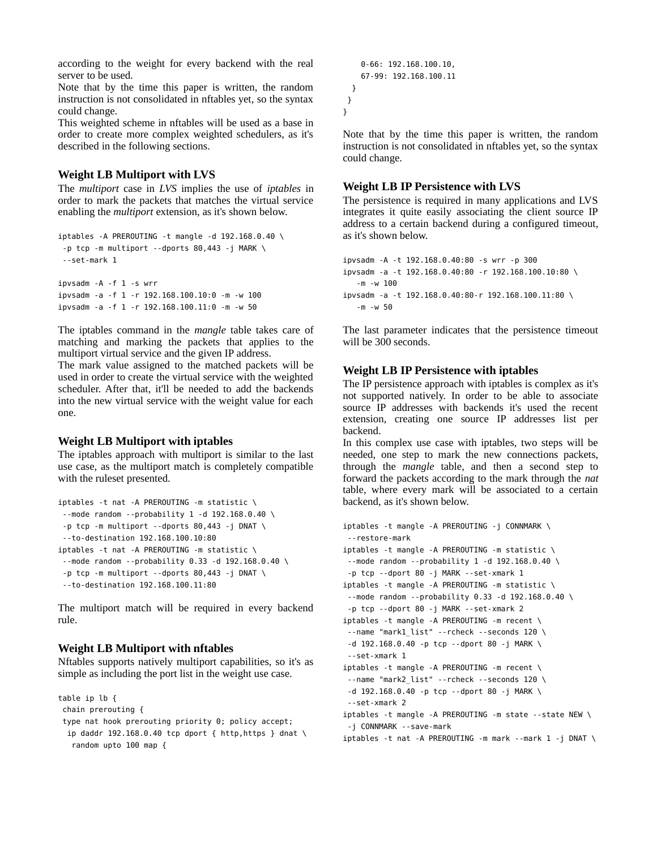according to the weight for every backend with the real server to be used.

Note that by the time this paper is written, the random instruction is not consolidated in nftables yet, so the syntax could change.

This weighted scheme in nftables will be used as a base in order to create more complex weighted schedulers, as it's described in the following sections.

#### **Weight LB Multiport with LVS**

The *multiport* case in *LVS* implies the use of *iptables* in order to mark the packets that matches the virtual service enabling the *multiport* extension, as it's shown below.

```
iptables -A PREROUTING -t mangle -d 192.168.0.40 \
  -p tcp -m multiport --dports 80,443 -j MARK \
  --set-mark 1
ipvsadm -A -f 1 -s wrr
ipvsadm -a -f 1 -r 192.168.100.10:0 -m -w 100
```
ipvsadm -a -f 1 -r 192.168.100.11:0 -m -w 50

The iptables command in the *mangle* table takes care of matching and marking the packets that applies to the multiport virtual service and the given IP address.

The mark value assigned to the matched packets will be used in order to create the virtual service with the weighted scheduler. After that, it'll be needed to add the backends into the new virtual service with the weight value for each one.

#### **Weight LB Multiport with iptables**

The iptables approach with multiport is similar to the last use case, as the multiport match is completely compatible with the ruleset presented.

```
iptables -t nat -A PREROUTING -m statistic \
  --mode random --probability 1 -d 192.168.0.40 \
 -p tcp -m multiport --dports 80,443 -j DNAT \
  --to-destination 192.168.100.10:80
iptables -t nat -A PREROUTING -m statistic \
  --mode random --probability 0.33 -d 192.168.0.40 \
-p tcp -m multiport --dports 80,443 -j DNAT \
  --to-destination 192.168.100.11:80
```
The multiport match will be required in every backend rule.

#### **Weight LB Multiport with nftables**

Nftables supports natively multiport capabilities, so it's as simple as including the port list in the weight use case.

```
table ip lb {
 chain prerouting {
  type nat hook prerouting priority 0; policy accept;
 ip daddr 192.168.0.40 tcp dport { http, https } dnat \
    random upto 100 map {
```

```
 0-66: 192.168.100.10,
     67-99: 192.168.100.11
  }
 }
}
```
Note that by the time this paper is written, the random instruction is not consolidated in nftables yet, so the syntax could change.

#### **Weight LB IP Persistence with LVS**

The persistence is required in many applications and LVS integrates it quite easily associating the client source IP address to a certain backend during a configured timeout, as it's shown below.

```
ipvsadm -A -t 192.168.0.40:80 -s wrr -p 300
ipvsadm -a -t 192.168.0.40:80 -r 192.168.100.10:80 \
    -m -w 100
ipvsadm -a -t 192.168.0.40:80-r 192.168.100.11:80 \
    -m -w 50
```
The last parameter indicates that the persistence timeout will be 300 seconds.

#### **Weight LB IP Persistence with iptables**

The IP persistence approach with iptables is complex as it's not supported natively. In order to be able to associate source IP addresses with backends it's used the recent extension, creating one source IP addresses list per backend.

In this complex use case with iptables, two steps will be needed, one step to mark the new connections packets, through the *mangle* table, and then a second step to forward the packets according to the mark through the *nat* table, where every mark will be associated to a certain backend, as it's shown below.

```
iptables -t mangle -A PREROUTING -j CONNMARK \
  --restore-mark
iptables -t mangle -A PREROUTING -m statistic \
  --mode random --probability 1 -d 192.168.0.40 \
  -p tcp --dport 80 -j MARK --set-xmark 1
iptables -t mangle -A PREROUTING -m statistic \
  --mode random --probability 0.33 -d 192.168.0.40 \
  -p tcp --dport 80 -j MARK --set-xmark 2
iptables -t mangle -A PREROUTING -m recent \
  --name "mark1_list" --rcheck --seconds 120 \
  -d 192.168.0.40 -p tcp --dport 80 -j MARK \
  --set-xmark 1
iptables -t mangle -A PREROUTING -m recent \
  --name "mark2_list" --rcheck --seconds 120 \
  -d 192.168.0.40 -p tcp --dport 80 -j MARK \
  --set-xmark 2
iptables -t mangle -A PREROUTING -m state --state NEW \
 -j CONNMARK --save-mark
iptables -t nat -A PREROUTING -m mark --mark 1 -j DNAT \
```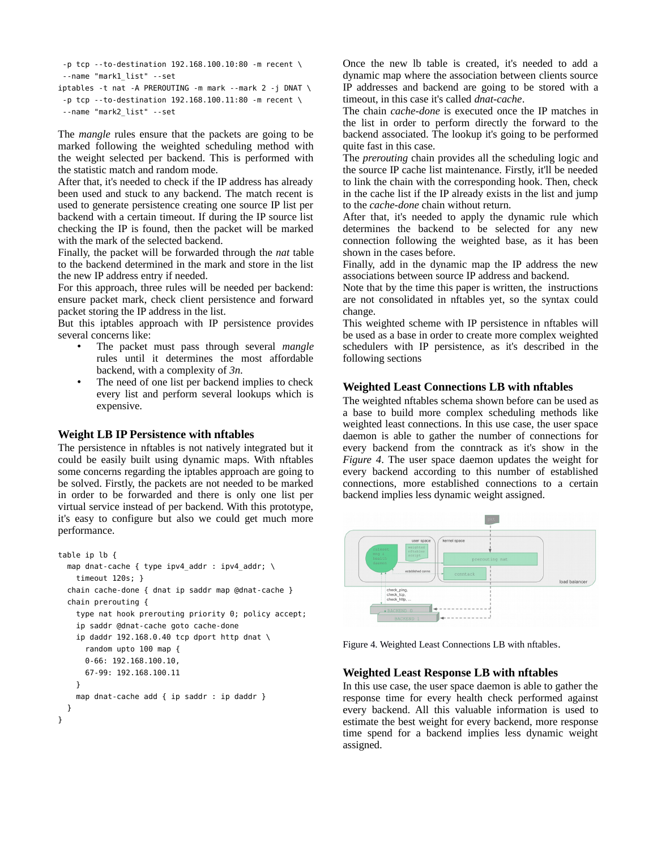```
 -p tcp --to-destination 192.168.100.10:80 -m recent \
  --name "mark1_list" --set
iptables -t nat -A PREROUTING -m mark --mark 2 -j DNAT \
 -p tcp --to-destination 192.168.100.11:80 -m recent \
 --name "mark2_list" --set
```
The *mangle* rules ensure that the packets are going to be marked following the weighted scheduling method with the weight selected per backend. This is performed with the statistic match and random mode.

After that, it's needed to check if the IP address has already been used and stuck to any backend. The match recent is used to generate persistence creating one source IP list per backend with a certain timeout. If during the IP source list checking the IP is found, then the packet will be marked with the mark of the selected backend.

Finally, the packet will be forwarded through the *nat* table to the backend determined in the mark and store in the list the new IP address entry if needed.

For this approach, three rules will be needed per backend: ensure packet mark, check client persistence and forward packet storing the IP address in the list.

But this iptables approach with IP persistence provides several concerns like:

- The packet must pass through several *mangle* rules until it determines the most affordable backend, with a complexity of *3n*.
- The need of one list per backend implies to check every list and perform several lookups which is expensive.

# **Weight LB IP Persistence with nftables**

The persistence in nftables is not natively integrated but it could be easily built using dynamic maps. With nftables some concerns regarding the iptables approach are going to be solved. Firstly, the packets are not needed to be marked in order to be forwarded and there is only one list per virtual service instead of per backend. With this prototype, it's easy to configure but also we could get much more performance.

```
table ip lb {
   map dnat-cache { type ipv4_addr : ipv4_addr; \
     timeout 120s; }
   chain cache-done { dnat ip saddr map @dnat-cache }
   chain prerouting {
     type nat hook prerouting priority 0; policy accept;
     ip saddr @dnat-cache goto cache-done
    ip daddr 192.168.0.40 tcp dport http dnat \setminus random upto 100 map {
       0-66: 192.168.100.10,
       67-99: 192.168.100.11
     }
     map dnat-cache add { ip saddr : ip daddr }
  }
}
```
Once the new lb table is created, it's needed to add a dynamic map where the association between clients source IP addresses and backend are going to be stored with a timeout, in this case it's called *dnat-cache*.

The chain *cache-done* is executed once the IP matches in the list in order to perform directly the forward to the backend associated. The lookup it's going to be performed quite fast in this case.

The *prerouting* chain provides all the scheduling logic and the source IP cache list maintenance. Firstly, it'll be needed to link the chain with the corresponding hook. Then, check in the cache list if the IP already exists in the list and jump to the *cache-done* chain without return.

After that, it's needed to apply the dynamic rule which determines the backend to be selected for any new connection following the weighted base, as it has been shown in the cases before.

Finally, add in the dynamic map the IP address the new associations between source IP address and backend.

Note that by the time this paper is written, the instructions are not consolidated in nftables yet, so the syntax could change.

This weighted scheme with IP persistence in nftables will be used as a base in order to create more complex weighted schedulers with IP persistence, as it's described in the following sections

# **Weighted Least Connections LB with nftables**

The weighted nftables schema shown before can be used as a base to build more complex scheduling methods like weighted least connections. In this use case, the user space daemon is able to gather the number of connections for every backend from the conntrack as it's show in the *Figure 4*. The user space daemon updates the weight for every backend according to this number of established connections, more established connections to a certain backend implies less dynamic weight assigned.



Figure 4. Weighted Least Connections LB with nftables.

# **Weighted Least Response LB with nftables**

In this use case, the user space daemon is able to gather the response time for every health check performed against every backend. All this valuable information is used to estimate the best weight for every backend, more response time spend for a backend implies less dynamic weight assigned.